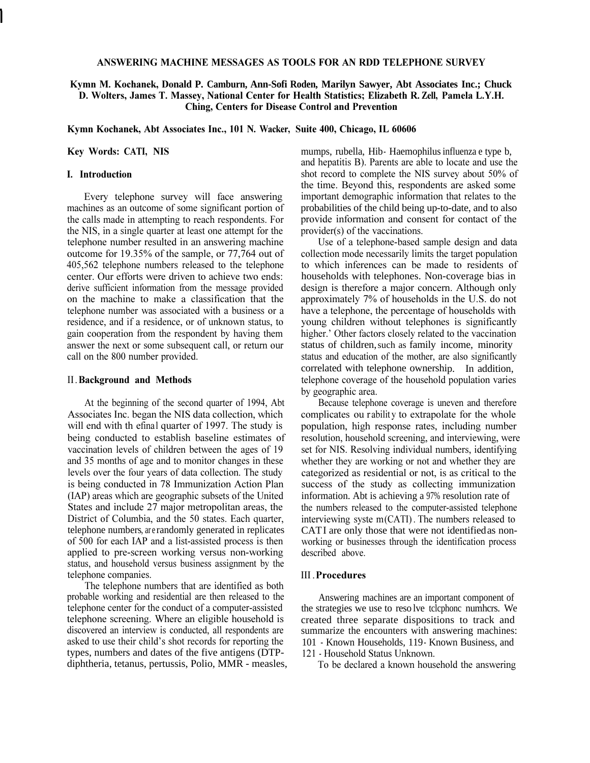### **ANSWERING MACHINE MESSAGES AS TOOLS FOR AN RDD TELEPHONE SURVEY**

# **Kymn M. Kochanek, Donald P. Camburn, Ann-Sofi Roden, Marilyn Sawyer, Abt Associates Inc.; Chuck D. Wolters, James T. Massey, National Center for Health Statistics; Elizabeth R. Zell, Pamela L.Y.H. Ching, Centers for Disease Control and Prevention**

**Kymn Kochanek, Abt Associates Inc., 101 N. Wacker, Suite 400, Chicago, IL 60606** 

**Key Words: CATI, NIS** 

# **I. Introduction**

Every telephone survey will face answering machines as an outcome of some significant portion of the calls made in attempting to reach respondents. For the NIS, in a single quarter at least one attempt for the telephone number resulted in an answering machine outcome for 19.35% of the sample, or 77,764 out of 405,562 telephone numbers released to the telephone center. Our efforts were driven to achieve two ends: derive sufficient information from the message provided on the machine to make a classification that the telephone number was associated with a business or a residence, and if a residence, or of unknown status, to gain cooperation from the respondent by having them answer the next or some subsequent call, or return our call on the 800 number provided.

#### II . **Background and Methods**

At the beginning of the second quarter of 1994, Abt Associates Inc. began the NIS data collection, which will end with th efinal quarter of 1997. The study is being conducted to establish baseline estimates of vaccination levels of children between the ages of 19 and 35 months of age and to monitor changes in these levels over the four years of data collection. The study is being conducted in 78 Immunization Action Plan (IAP) areas which are geographic subsets of the United States and include 27 major metropolitan areas, the District of Columbia, and the 50 states. Each quarter, telephone numbers, are randomly generated in replicates of 500 for each IAP and a list-assisted process is then applied to pre-screen working versus non-working status, and household versus business assignment by the telephone companies.

The telephone numbers that are identified as both probable working and residential are then released to the telephone center for the conduct of a computer-assisted telephone screening. Where an eligible household is discovered an interview is conducted, all respondents are asked to use their child's shot records for reporting the types, numbers and dates of the five antigens (DTPdiphtheria, tetanus, pertussis, Polio, MMR - measles, mumps, rubella, Hib- Haemophilus influenza e type b, and hepatitis B). Parents are able to locate and use the shot record to complete the NIS survey about 50% of the time. Beyond this, respondents are asked some important demographic information that relates to the probabilities of the child being up-to-date, and to also provide information and consent for contact of the provider(s) of the vaccinations.

Use of a telephone-based sample design and data collection mode necessarily limits the target population to which inferences can be made to residents of households with telephones. Non-coverage bias in design is therefore a major concern. Although only approximately 7% of households in the U.S. do not have a telephone, the percentage of households with young children without telephones is significantly higher.' Other factors closely related to the vaccination status of children,such as family income, minority status and education of the mother, are also significantly correlated with telephone ownership. In addition, telephone coverage of the household population varies by geographic area.

Because telephone coverage is uneven and therefore complicates ou rability to extrapolate for the whole population, high response rates, including number resolution, household screening, and interviewing, were set for NIS. Resolving individual numbers, identifying whether they are working or not and whether they are categorized as residential or not, is as critical to the success of the study as collecting immunization information. Abt is achieving a 97% resolution rate of the numbers released to the computer-assisted telephone interviewing syste  $m(CATI)$ . The numbers released to CATI are only those that were not identified as nonworking or businesses through the identification process described above.

#### III . **Procedures**

Answering machines are an important component of the strategies we use to reso lve tclcphonc numhcrs. We created three separate dispositions to track and summarize the encounters with answering machines: 101 - Known Households, 119 - Known Business, and 121 - Household Status Unknown.

To be declared a known household the answering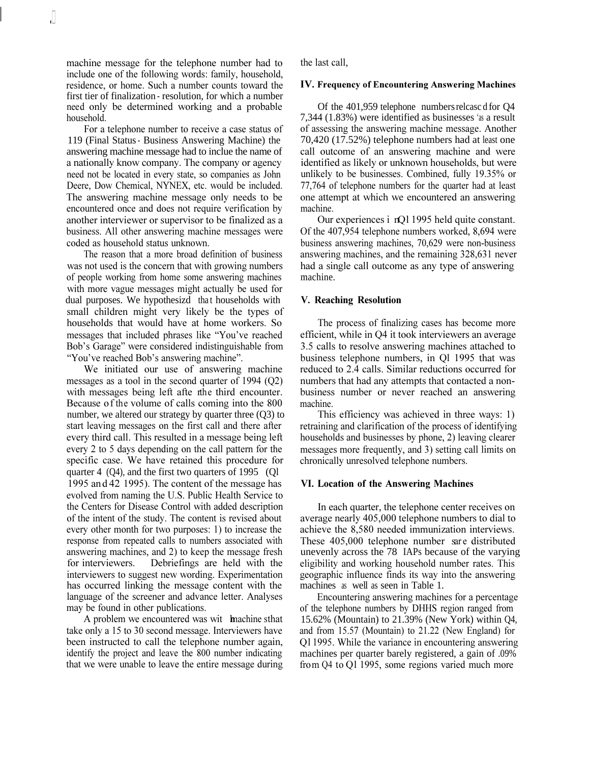machine message for the telephone number had to include one of the following words: family, household, residence, or home. Such a number counts toward the first tier of finalization - resolution, for which a number need only be determined working and a probable household.

For a telephone number to receive a case status of 119 (Final Status - Business Answering Machine) the answering machine message had to inclue the name of a nationally know company. The company or agency need not be located in every state, so companies as John Deere, Dow Chemical, NYNEX, etc. would be included. The answering machine message only needs to be encountered once and does not require verification by another interviewer or supervisor to be finalized as a business. All other answering machine messages were coded as household status unknown.

The reason that a more broad definition of business was not used is the concern that with growing numbers of people working from home some answering machines with more vague messages might actually be used for dual purposes. We hypothesizd that households with small children might very likely be the types of households that would have at home workers. So messages that included phrases like "You've reached Bob's Garage" were considered indistinguishable from "You've reached Bob's answering machine".

We initiated our use of answering machine messages as a tool in the second quarter of 1994 (Q2) with messages being left afte rthe third encounter. Because of the volume of calls coming into the 800 number, we altered our strategy by quarter three (Q3) to start leaving messages on the first call and there after every third call. This resulted in a message being left every 2 to 5 days depending on the call pattern for the specific case. We have retained this procedure for quarter 4 (Q4), and the first two quarters of 1995 (Ql 1995 an d 42 1995). The content of the message has evolved from naming the U.S. Public Health Service to the Centers for Disease Control with added description of the intent of the study. The content is revised about every other month for two purposes: 1) to increase the response from repeated calls to numbers associated with answering machines, and 2) to keep the message fresh for interviewers. Debriefings are held with the interviewers to suggest new wording. Experimentation has occurred linking the message content with the language of the screener and advance letter. Analyses may be found in other publications.

A problem we encountered was wit hmachine sthat take only a 15 to 30 second message. Interviewers have been instructed to call the telephone number again, identify the project and leave the 800 number indicating that we were unable to leave the entire message during the last call,

#### **IV. Frequency of Encountering Answering Machines**

Of the 401,959 telephone numbers relcasc d for Q4 7,344 (1.83%) were identified as businesses 'as a result of assessing the answering machine message. Another 70,420 (17.52%) telephone numbers had at least one call outcome of an answering machine and were identified as likely or unknown households, but were unlikely to be businesses. Combined, fully 19.35% or 77,764 of telephone numbers for the quarter had at least one attempt at which we encountered an answering machine.

Our experiences i nQl 1995 held quite constant. Of the 407,954 telephone numbers worked, 8,694 were business answering machines, 70,629 were non-business answering machines, and the remaining 328,631 never had a single call outcome as any type of answering machine.

### **V. Reaching Resolution**

The process of finalizing cases has become more efficient, while in Q4 it took interviewers an average 3.5 calls to resolve answering machines attached to business telephone numbers, in Ql 1995 that was reduced to 2.4 calls. Similar reductions occurred for numbers that had any attempts that contacted a nonbusiness number or never reached an answering machine.

This efficiency was achieved in three ways: 1) retraining and clarification of the process of identifying households and businesses by phone, 2) leaving clearer messages more frequently, and 3) setting call limits on chronically unresolved telephone numbers.

### **VI. Location of the Answering Machines**

In each quarter, the telephone center receives on average nearly 405,000 telephone numbers to dial to achieve the 8,580 needed immunization interviews. These 405,000 telephone number sare distributed unevenly across the 78 IAPs because of the varying eligibility and working household number rates. This geographic influence finds its way into the answering machines as well as seen in Table 1.

Encountering answering machines for a percentage of the telephone numbers by DHHS region ranged from 15.62% (Mountain) to 21.39% (New York) within Q4, and from 15.57 (Mountain) to 21.22 (New England) for Ql 1995. While the variance in encountering answering machines per quarter barely registered, a gain of .09% from Q4 to Q1 1995, some regions varied much more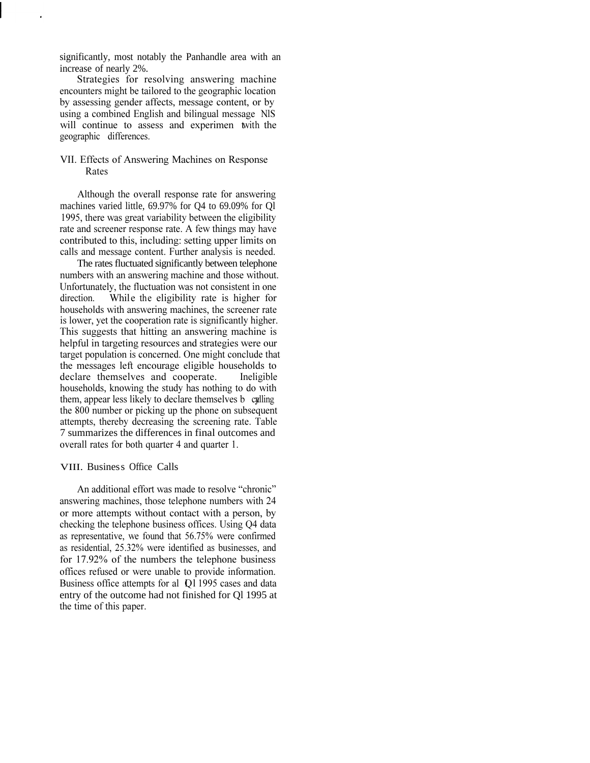significantly, most notably the Panhandle area with an increase of nearly 2%.

Strategies for resolving answering machine encounters might be tailored to the geographic location by assessing gender affects, message content, or by using a combined English and bilingual message NlS. will continue to assess and experimen twith the geographic differences.

# VII. Effects of Answering Machines on Response Rates

Although the overall response rate for answering machines varied little, 69.97% for Q4 to 69.09% for Ql 1995, there was great variability between the eligibility rate and screener response rate. A few things may have contributed to this, including: setting upper limits on calls and message content. Further analysis is needed.

The rates fluctuated significantly between telephone numbers with an answering machine and those without. Unfortunately, the fluctuation was not consistent in one direction. While the eligibility rate is higher for households with answering machines, the screener rate is lower, yet the cooperation rate is significantly higher. This suggests that hitting an answering machine is helpful in targeting resources and strategies were our target population is concerned. One might conclude that the messages left encourage eligible households to declare themselves and cooperate. Ineligible households, knowing the study has nothing to do with them, appear less likely to declare themselves b calling the 800 number or picking up the phone on subsequent attempts, thereby decreasing the screening rate. Table 7 summarizes the differences in final outcomes and overall rates for both quarter 4 and quarter 1.

### VIII. Business Office Calls

An additional effort was made to resolve "chronic" answering machines, those telephone numbers with 24 or more attempts without contact with a person, by checking the telephone business offices. Using Q4 data as representative, we found that 56.75% were confirmed as residential, 25.32% were identified as businesses, and for 17.92% of the numbers the telephone business offices refused or were unable to provide information. Business office attempts for al Q1 1995 cases and data entry of the outcome had not finished for Ql 1995 at the time of this paper.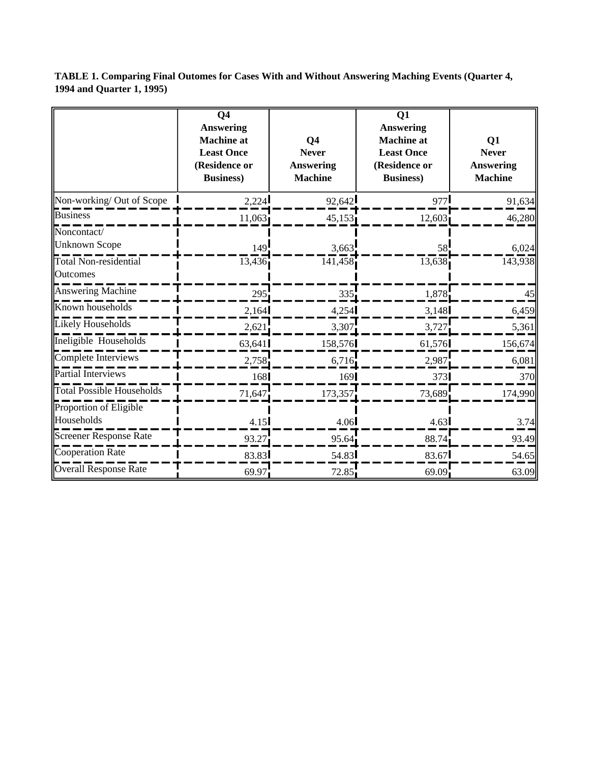**TABLE 1. Comparing Final Outomes for Cases With and Without Answering Maching Events (Quarter 4, 1994 and Quarter 1, 1995)** 

|                                                                     | Q <sub>4</sub><br><b>Answering</b><br><b>Machine</b> at<br><b>Least Once</b><br>(Residence or<br><b>Business</b> ) | Q <sub>4</sub><br><b>Never</b><br><b>Answering</b><br><b>Machine</b> | Q1<br><b>Answering</b><br><b>Machine</b> at<br><b>Least Once</b><br>(Residence or<br><b>Business</b> ) | Q1<br><b>Never</b><br><b>Answering</b><br><b>Machine</b> |
|---------------------------------------------------------------------|--------------------------------------------------------------------------------------------------------------------|----------------------------------------------------------------------|--------------------------------------------------------------------------------------------------------|----------------------------------------------------------|
| Non-working/ Out of Scope                                           | 2,224                                                                                                              | 92,642                                                               | 977                                                                                                    | 91,634                                                   |
| <b>Business</b>                                                     | 11,063                                                                                                             | 45,153                                                               | 12,603                                                                                                 | 46,280                                                   |
| Noncontact/<br><b>Unknown Scope</b><br><b>Total Non-residential</b> | 149<br>13,436                                                                                                      | 3,663<br>141,458                                                     | 58<br>13,638                                                                                           | 6,024<br>143,938                                         |
| Outcomes                                                            |                                                                                                                    |                                                                      |                                                                                                        |                                                          |
| Answering Machine                                                   | 295                                                                                                                | 335                                                                  | 1,878                                                                                                  | 45                                                       |
| Known households                                                    | 2,164                                                                                                              | 4,254                                                                | 3,148                                                                                                  | 6,459                                                    |
| Likely Households                                                   | 2,621                                                                                                              | 3,307                                                                | 3,727                                                                                                  | 5,361                                                    |
| Ineligible Households                                               | 63,641                                                                                                             | 158,576                                                              | 61,576                                                                                                 | 156,674                                                  |
| Complete Interviews                                                 | 2,758                                                                                                              | 6,716                                                                | 2,987                                                                                                  | 6,081                                                    |
| Partial Interviews                                                  | 168                                                                                                                | 169                                                                  | 373                                                                                                    | 370                                                      |
| <b>Total Possible Households</b>                                    | 71,647                                                                                                             | 173,357                                                              | 73,689                                                                                                 | 174,990                                                  |
| Proportion of Eligible                                              |                                                                                                                    |                                                                      |                                                                                                        |                                                          |
| Households                                                          | 4.15                                                                                                               | 4.06                                                                 | 4.63                                                                                                   | 3.74                                                     |
| Screener Response Rate                                              | 93.27                                                                                                              | 95.64                                                                | 88.74                                                                                                  | 93.49                                                    |
| Cooperation Rate                                                    | 83.83                                                                                                              | 54.83                                                                | 83.67                                                                                                  | 54.65                                                    |
| Overall Response Rate                                               | 69.97                                                                                                              | 72.85                                                                | 69.09                                                                                                  | 63.09                                                    |